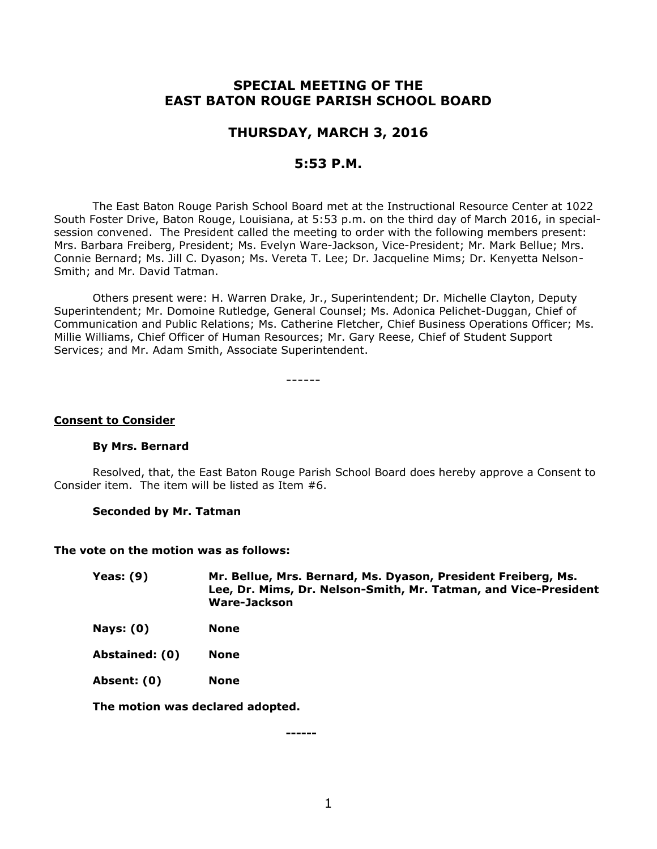# **SPECIAL MEETING OF THE EAST BATON ROUGE PARISH SCHOOL BOARD**

# **THURSDAY, MARCH 3, 2016**

# **5:53 P.M.**

The East Baton Rouge Parish School Board met at the Instructional Resource Center at 1022 South Foster Drive, Baton Rouge, Louisiana, at 5:53 p.m. on the third day of March 2016, in specialsession convened. The President called the meeting to order with the following members present: Mrs. Barbara Freiberg, President; Ms. Evelyn Ware-Jackson, Vice-President; Mr. Mark Bellue; Mrs. Connie Bernard; Ms. Jill C. Dyason; Ms. Vereta T. Lee; Dr. Jacqueline Mims; Dr. Kenyetta Nelson-Smith; and Mr. David Tatman.

Others present were: H. Warren Drake, Jr., Superintendent; Dr. Michelle Clayton, Deputy Superintendent; Mr. Domoine Rutledge, General Counsel; Ms. Adonica Pelichet-Duggan, Chief of Communication and Public Relations; Ms. Catherine Fletcher, Chief Business Operations Officer; Ms. Millie Williams, Chief Officer of Human Resources; Mr. Gary Reese, Chief of Student Support Services; and Mr. Adam Smith, Associate Superintendent.

------

#### **Consent to Consider**

#### **By Mrs. Bernard**

Resolved, that, the East Baton Rouge Parish School Board does hereby approve a Consent to Consider item. The item will be listed as Item #6.

#### **Seconded by Mr. Tatman**

#### **The vote on the motion was as follows:**

**Yeas: (9) Mr. Bellue, Mrs. Bernard, Ms. Dyason, President Freiberg, Ms. Lee, Dr. Mims, Dr. Nelson-Smith, Mr. Tatman, and Vice-President Ware-Jackson**

**Nays: (0) None**

**Abstained: (0) None**

**Absent: (0) None**

**The motion was declared adopted.**

**------**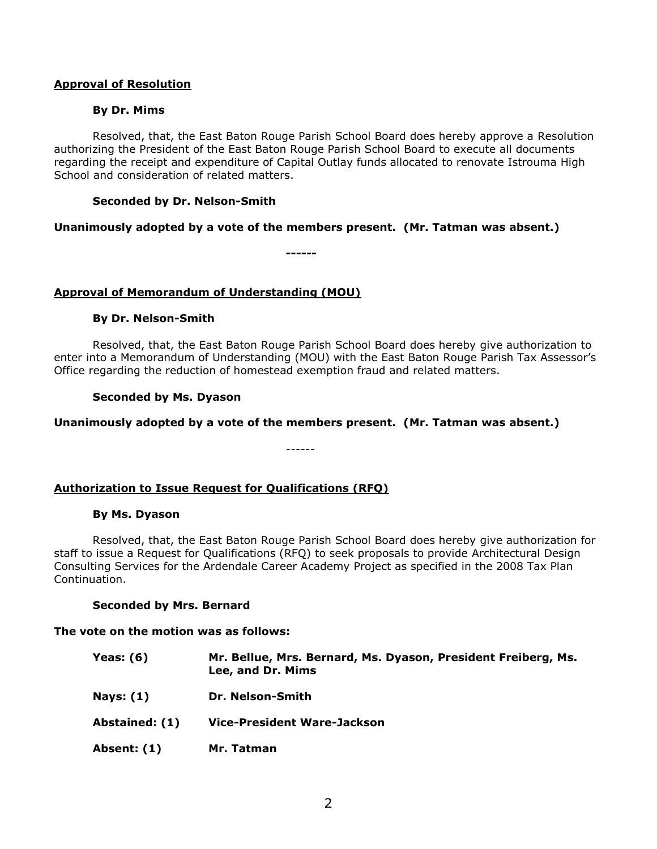## **Approval of Resolution**

## **By Dr. Mims**

Resolved, that, the East Baton Rouge Parish School Board does hereby approve a Resolution authorizing the President of the East Baton Rouge Parish School Board to execute all documents regarding the receipt and expenditure of Capital Outlay funds allocated to renovate Istrouma High School and consideration of related matters.

# **Seconded by Dr. Nelson-Smith**

**Unanimously adopted by a vote of the members present. (Mr. Tatman was absent.)**

**------**

# **Approval of Memorandum of Understanding (MOU)**

# **By Dr. Nelson-Smith**

Resolved, that, the East Baton Rouge Parish School Board does hereby give authorization to enter into a Memorandum of Understanding (MOU) with the East Baton Rouge Parish Tax Assessor's Office regarding the reduction of homestead exemption fraud and related matters.

# **Seconded by Ms. Dyason**

# **Unanimously adopted by a vote of the members present. (Mr. Tatman was absent.)**

------

### **Authorization to Issue Request for Qualifications (RFQ)**

### **By Ms. Dyason**

Resolved, that, the East Baton Rouge Parish School Board does hereby give authorization for staff to issue a Request for Qualifications (RFQ) to seek proposals to provide Architectural Design Consulting Services for the Ardendale Career Academy Project as specified in the 2008 Tax Plan Continuation.

### **Seconded by Mrs. Bernard**

### **The vote on the motion was as follows:**

- **Yeas: (6) Mr. Bellue, Mrs. Bernard, Ms. Dyason, President Freiberg, Ms. Lee, and Dr. Mims Nays: (1) Dr. Nelson-Smith Abstained: (1) Vice-President Ware-Jackson**
- **Absent: (1) Mr. Tatman**